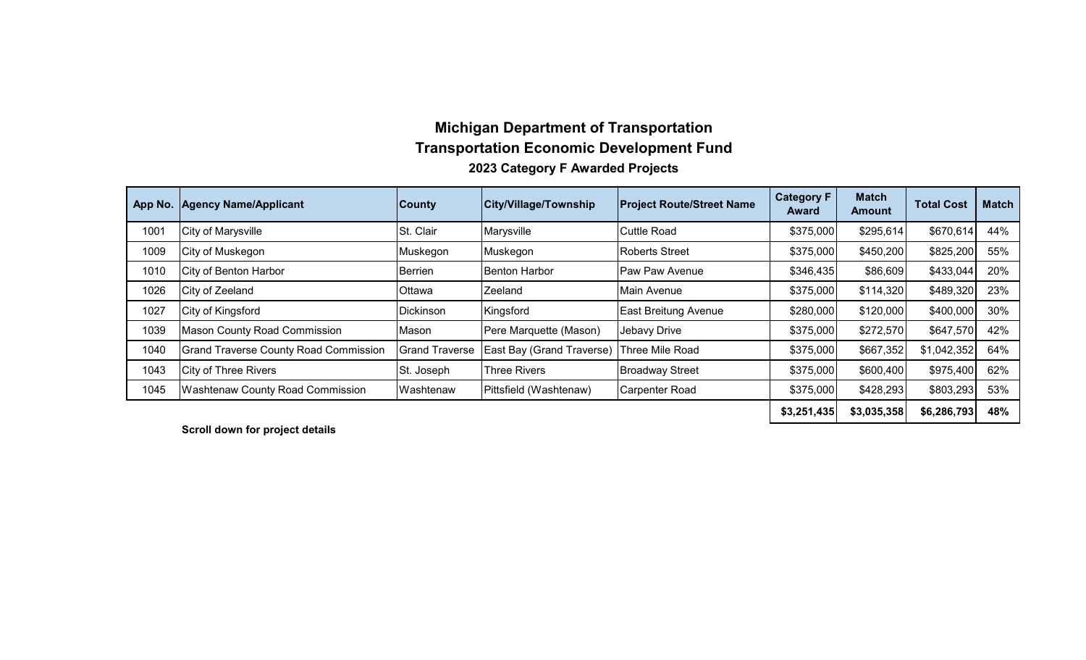# **Michigan Department of Transportation Transportation Economic Development Fund 2023 Category F Awarded Projects**

| App No. | <b>Agency Name/Applicant</b>                 | <b>County</b>         | <b>City/Village/Township</b> | <b>Project Route/Street Name</b> | <b>Category F</b><br><b>Award</b> | <b>Match</b><br>Amount | <b>Total Cost</b> | <b>Match</b> |
|---------|----------------------------------------------|-----------------------|------------------------------|----------------------------------|-----------------------------------|------------------------|-------------------|--------------|
| 1001    | City of Marysville                           | St. Clair             | Marysville                   | <b>Cuttle Road</b>               | \$375,000                         | \$295,614              | \$670,614         | 44%          |
| 1009    | City of Muskegon                             | Muskegon              | Muskegon                     | <b>Roberts Street</b>            | \$375,000                         | \$450,200              | \$825,200         | 55%          |
| 1010    | City of Benton Harbor                        | Berrien               | <b>Benton Harbor</b>         | Paw Paw Avenue                   | \$346,435                         | \$86,609               | \$433,044         | 20%          |
| 1026    | City of Zeeland                              | <b>Ottawa</b>         | Zeeland                      | Main Avenue                      | \$375,000                         | \$114,320              | \$489,320         | 23%          |
| 1027    | City of Kingsford                            | Dickinson             | Kingsford                    | East Breitung Avenue             | \$280,000                         | \$120,000              | \$400,000         | 30%          |
| 1039    | <b>Mason County Road Commission</b>          | Mason                 | Pere Marquette (Mason)       | Jebavy Drive                     | \$375,000                         | \$272,570              | \$647,570         | 42%          |
| 1040    | <b>Grand Traverse County Road Commission</b> | <b>Grand Traverse</b> | East Bay (Grand Traverse)    | Three Mile Road                  | \$375,000                         | \$667,352              | \$1,042,352       | 64%          |
| 1043    | <b>City of Three Rivers</b>                  | St. Joseph            | <b>Three Rivers</b>          | <b>Broadway Street</b>           | \$375,000                         | \$600,400              | \$975,400         | 62%          |
| 1045    | <b>Washtenaw County Road Commission</b>      | Washtenaw             | Pittsfield (Washtenaw)       | <b>Carpenter Road</b>            | \$375,000                         | \$428,293              | \$803,293         | 53%          |
|         |                                              |                       |                              |                                  | \$3,251,435                       | \$3,035,358            | \$6,286,793       | 48%          |

**Scroll down for project details**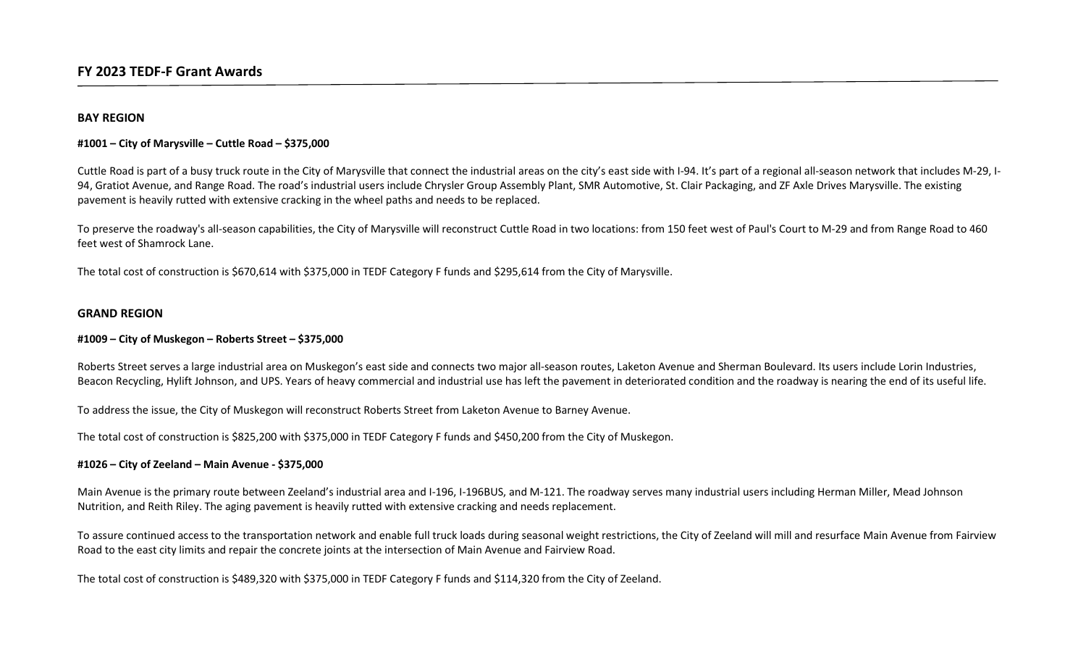# BAY REGION

# #1001 – City of Marysville – Cuttle Road – \$375,000

Cuttle Road is part of a busy truck route in the City of Marysville that connect the industrial areas on the city's east side with I-94. It's part of a regional all-season network that includes M-29, I-94, Gratiot Avenue, and Range Road. The road's industrial users include Chrysler Group Assembly Plant, SMR Automotive, St. Clair Packaging, and ZF Axle Drives Marysville. The existing pavement is heavily rutted with extensive cracking in the wheel paths and needs to be replaced.

To preserve the roadway's all-season capabilities, the City of Marysville will reconstruct Cuttle Road in two locations: from 150 feet west of Paul's Court to M-29 and from Range Road to 460 feet west of Shamrock Lane.

The total cost of construction is \$670,614 with \$375,000 in TEDF Category F funds and \$295,614 from the City of Marysville.

#### GRAND REGION

#### #1009 – City of Muskegon – Roberts Street – \$375,000

Roberts Street serves a large industrial area on Muskegon's east side and connects two major all-season routes, Laketon Avenue and Sherman Boulevard. Its users include Lorin Industries, Beacon Recycling, Hylift Johnson, and UPS. Years of heavy commercial and industrial use has left the pavement in deteriorated condition and the roadway is nearing the end of its useful life.

To address the issue, the City of Muskegon will reconstruct Roberts Street from Laketon Avenue to Barney Avenue.

The total cost of construction is \$825,200 with \$375,000 in TEDF Category F funds and \$450,200 from the City of Muskegon.

#### #1026 – City of Zeeland – Main Avenue - \$375,000

Main Avenue is the primary route between Zeeland's industrial area and I-196, I-196BUS, and M-121. The roadway serves many industrial users including Herman Miller, Mead Johnson Nutrition, and Reith Riley. The aging pavement is heavily rutted with extensive cracking and needs replacement.

To assure continued access to the transportation network and enable full truck loads during seasonal weight restrictions, the City of Zeeland will mill and resurface Main Avenue from Fairview Road to the east city limits and repair the concrete joints at the intersection of Main Avenue and Fairview Road.

The total cost of construction is \$489,320 with \$375,000 in TEDF Category F funds and \$114,320 from the City of Zeeland.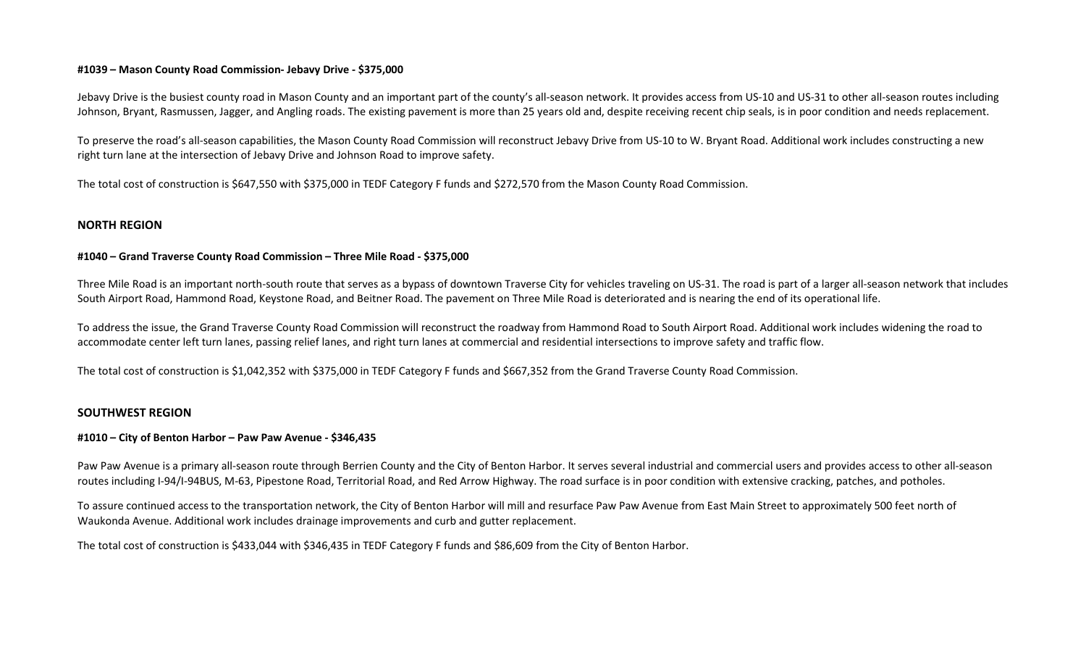## #1039 – Mason County Road Commission- Jebavy Drive - \$375,000

Jebavy Drive is the busiest county road in Mason County and an important part of the county's all-season network. It provides access from US-10 and US-31 to other all-season routes including Johnson, Bryant, Rasmussen, Jagger, and Angling roads. The existing pavement is more than 25 years old and, despite receiving recent chip seals, is in poor condition and needs replacement.

To preserve the road's all-season capabilities, the Mason County Road Commission will reconstruct Jebavy Drive from US-10 to W. Bryant Road. Additional work includes constructing a new right turn lane at the intersection of Jebavy Drive and Johnson Road to improve safety.

The total cost of construction is \$647,550 with \$375,000 in TEDF Category F funds and \$272,570 from the Mason County Road Commission.

# NORTH REGION

#### #1040 – Grand Traverse County Road Commission – Three Mile Road - \$375,000

Three Mile Road is an important north-south route that serves as a bypass of downtown Traverse City for vehicles traveling on US-31. The road is part of a larger all-season network that includes South Airport Road, Hammond Road, Keystone Road, and Beitner Road. The pavement on Three Mile Road is deteriorated and is nearing the end of its operational life.

To address the issue, the Grand Traverse County Road Commission will reconstruct the roadway from Hammond Road to South Airport Road. Additional work includes widening the road to accommodate center left turn lanes, passing relief lanes, and right turn lanes at commercial and residential intersections to improve safety and traffic flow.

The total cost of construction is \$1,042,352 with \$375,000 in TEDF Category F funds and \$667,352 from the Grand Traverse County Road Commission.

#### SOUTHWEST REGION

#### #1010 – City of Benton Harbor – Paw Paw Avenue - \$346,435

Paw Paw Avenue is a primary all-season route through Berrien County and the City of Benton Harbor. It serves several industrial and commercial users and provides access to other all-season routes including I-94/I-94BUS, M-63, Pipestone Road, Territorial Road, and Red Arrow Highway. The road surface is in poor condition with extensive cracking, patches, and potholes.

To assure continued access to the transportation network, the City of Benton Harbor will mill and resurface Paw Paw Avenue from East Main Street to approximately 500 feet north of Waukonda Avenue. Additional work includes drainage improvements and curb and gutter replacement.

The total cost of construction is \$433,044 with \$346,435 in TEDF Category F funds and \$86,609 from the City of Benton Harbor.